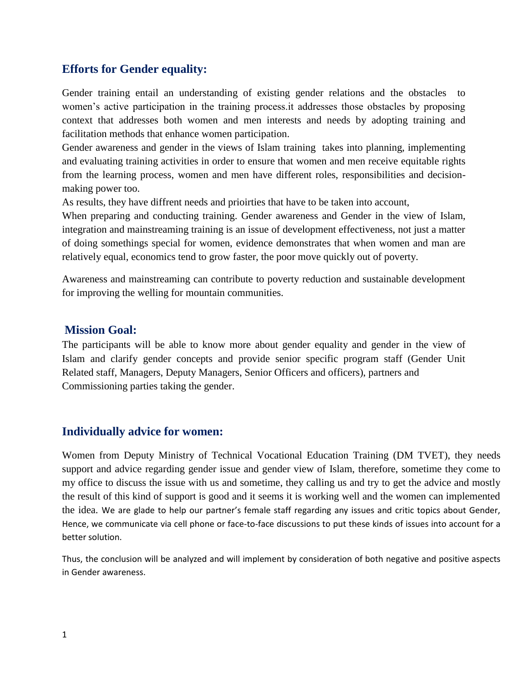### **Efforts for Gender equality:**

Gender training entail an understanding of existing gender relations and the obstacles to women's active participation in the training process.it addresses those obstacles by proposing context that addresses both women and men interests and needs by adopting training and facilitation methods that enhance women participation.

Gender awareness and gender in the views of Islam training takes into planning, implementing and evaluating training activities in order to ensure that women and men receive equitable rights from the learning process, women and men have different roles, responsibilities and decisionmaking power too.

As results, they have diffrent needs and prioirties that have to be taken into account,

When preparing and conducting training. Gender awareness and Gender in the view of Islam, integration and mainstreaming training is an issue of development effectiveness, not just a matter of doing somethings special for women, evidence demonstrates that when women and man are relatively equal, economics tend to grow faster, the poor move quickly out of poverty.

Awareness and mainstreaming can contribute to poverty reduction and sustainable development for improving the welling for mountain communities.

#### **Mission Goal:**

The participants will be able to know more about gender equality and gender in the view of Islam and clarify gender concepts and provide senior specific program staff (Gender Unit Related staff, Managers, Deputy Managers, Senior Officers and officers), partners and Commissioning parties taking the gender.

### **Individually advice for women:**

Women from Deputy Ministry of Technical Vocational Education Training (DM TVET), they needs support and advice regarding gender issue and gender view of Islam, therefore, sometime they come to my office to discuss the issue with us and sometime, they calling us and try to get the advice and mostly the result of this kind of support is good and it seems it is working well and the women can implemented the idea. We are glade to help our partner's female staff regarding any issues and critic topics about Gender, Hence, we communicate via cell phone or face-to-face discussions to put these kinds of issues into account for a better solution.

Thus, the conclusion will be analyzed and will implement by consideration of both negative and positive aspects in Gender awareness.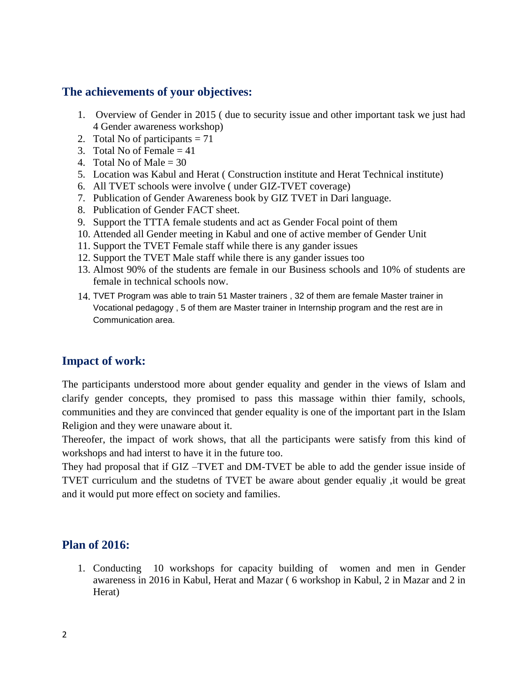## **The achievements of your objectives:**

- 1. Overview of Gender in 2015 ( due to security issue and other important task we just had 4 Gender awareness workshop)
- 2. Total No of participants  $= 71$
- 3. Total No of Female  $= 41$
- 4. Total No of Male  $= 30$
- 5. Location was Kabul and Herat ( Construction institute and Herat Technical institute)
- 6. All TVET schools were involve ( under GIZ-TVET coverage)
- 7. Publication of Gender Awareness book by GIZ TVET in Dari language.
- 8. Publication of Gender FACT sheet.
- 9. Support the TTTA female students and act as Gender Focal point of them
- 10. Attended all Gender meeting in Kabul and one of active member of Gender Unit
- 11. Support the TVET Female staff while there is any gander issues
- 12. Support the TVET Male staff while there is any gander issues too
- 13. Almost 90% of the students are female in our Business schools and 10% of students are female in technical schools now.
- 14. TVET Program was able to train 51 Master trainers , 32 of them are female Master trainer in Vocational pedagogy , 5 of them are Master trainer in Internship program and the rest are in Communication area.

# **Impact of work:**

The participants understood more about gender equality and gender in the views of Islam and clarify gender concepts, they promised to pass this massage within thier family, schools, communities and they are convinced that gender equality is one of the important part in the Islam Religion and they were unaware about it.

Thereofer, the impact of work shows, that all the participants were satisfy from this kind of workshops and had interst to have it in the future too.

They had proposal that if GIZ –TVET and DM-TVET be able to add the gender issue inside of TVET curriculum and the studetns of TVET be aware about gender equaliy ,it would be great and it would put more effect on society and families.

### **Plan of 2016:**

1. Conducting 10 workshops for capacity building of women and men in Gender awareness in 2016 in Kabul, Herat and Mazar ( 6 workshop in Kabul, 2 in Mazar and 2 in Herat)